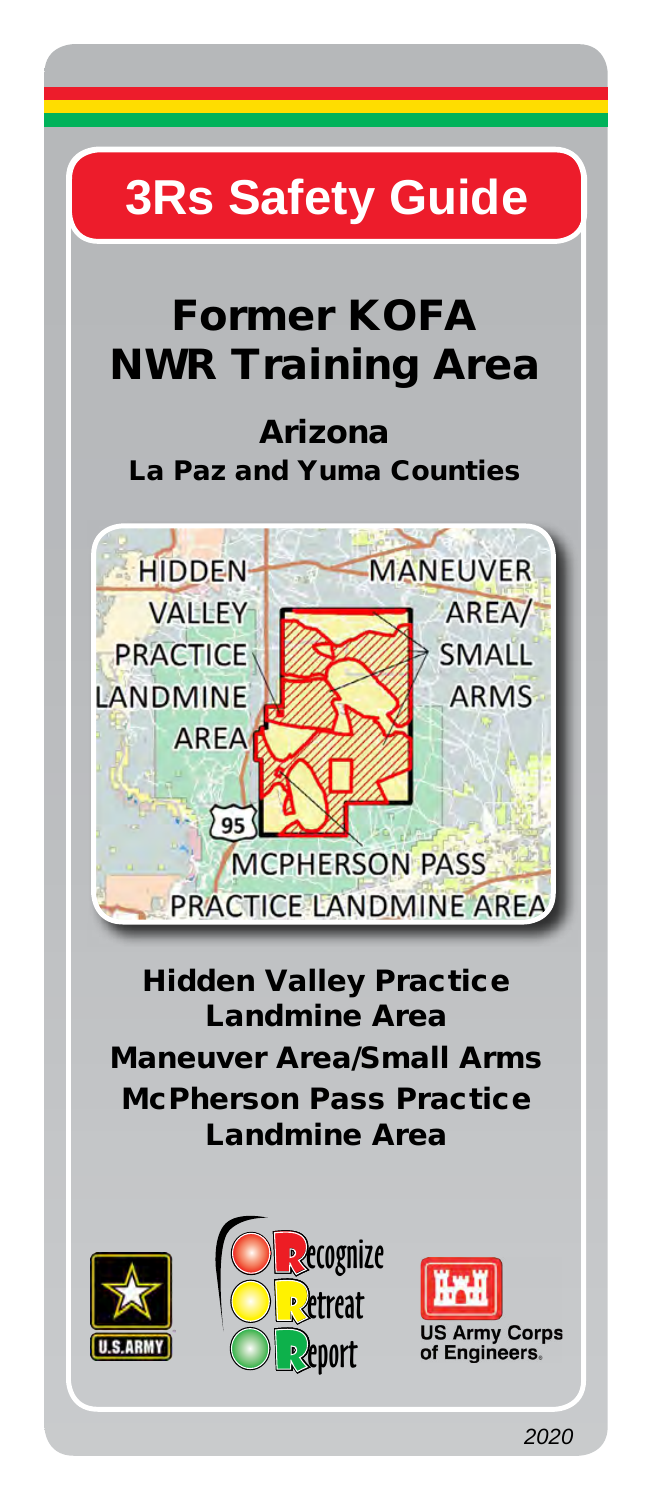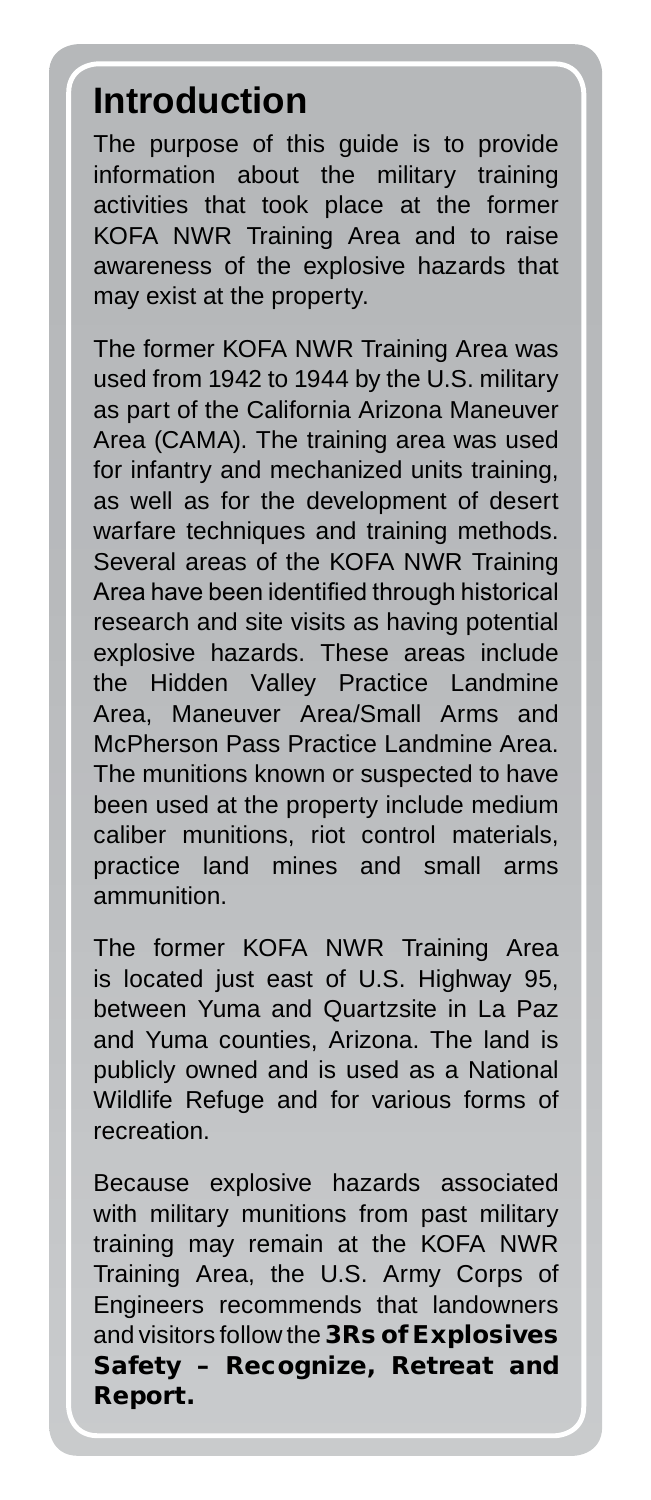## **Introduction**

The purpose of this guide is to provide information about the military training activities that took place at the former KOFA NWR Training Area and to raise awareness of the explosive hazards that may exist at the property.

The former KOFA NWR Training Area was used from 1942 to 1944 by the U.S. military as part of the California Arizona Maneuver Area (CAMA). The training area was used for infantry and mechanized units training, as well as for the development of desert warfare techniques and training methods. Several areas of the KOFA NWR Training Area have been identified through historical research and site visits as having potential explosive hazards. These areas include the Hidden Valley Practice Landmine Area, Maneuver Area/Small Arms and McPherson Pass Practice Landmine Area. The munitions known or suspected to have been used at the property include medium caliber munitions, riot control materials, practice land mines and small arms ammunition.

The former KOFA NWR Training Area is located just east of U.S. Highway 95, between Yuma and Quartzsite in La Paz and Yuma counties, Arizona. The land is publicly owned and is used as a National Wildlife Refuge and for various forms of **recreation** 

Because explosive hazards associated with military munitions from past military training may remain at the KOFA NWR Training Area, the U.S. Army Corps of Engineers recommends that landowners and visitors follow the 3Rs of Explosives Safety – Recognize, Retreat and Report.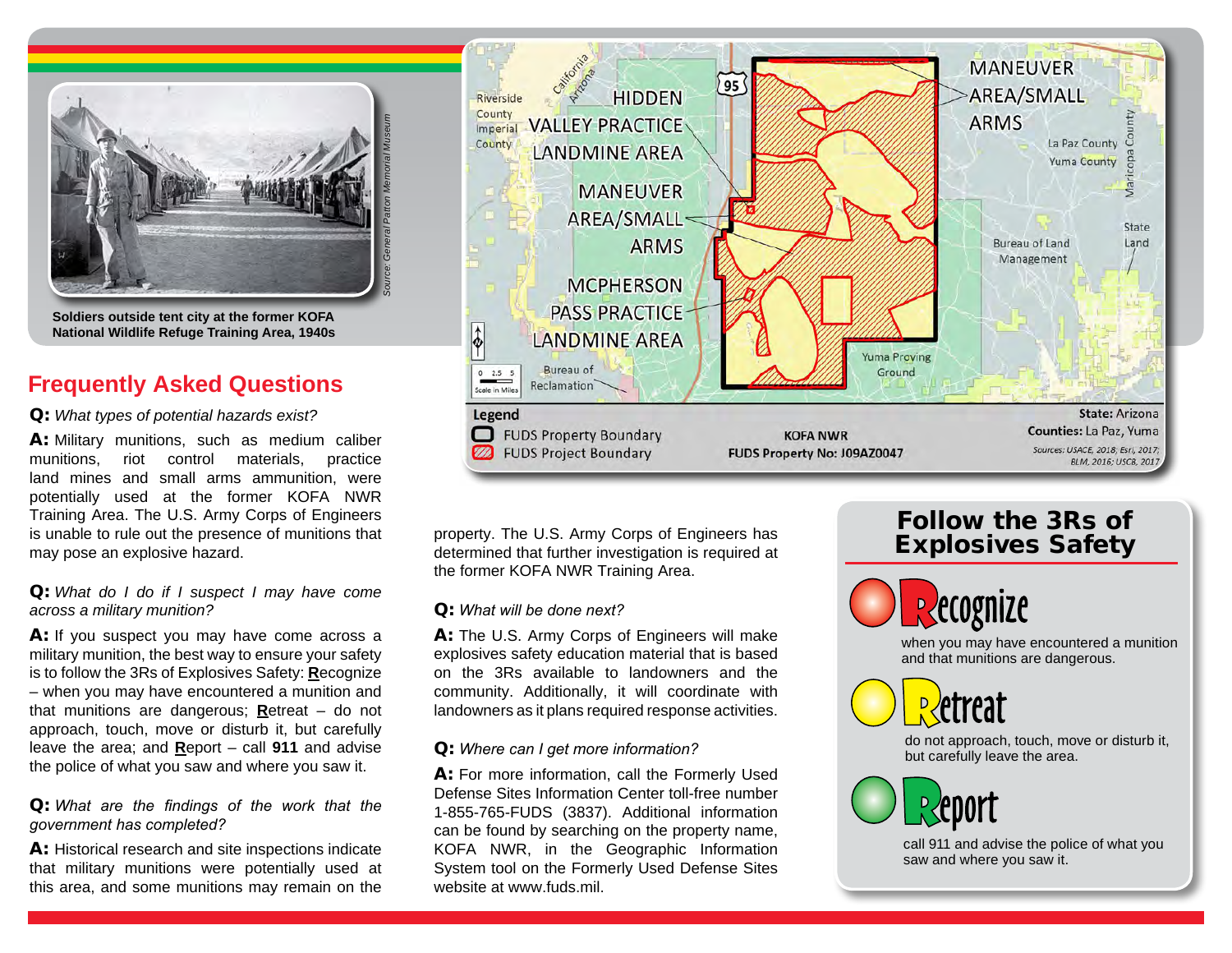

**Soldiers outside tent city at the former KOFA National Wildlife Refuge Training Area, 1940s**

# **Frequently Asked Questions**

### Q: *What types of potential hazards exist?*

A: Military munitions, such as medium caliber munitions, riot control materials, practice land mines and small arms ammunition, were potentially used at the former KOFA NWR Training Area. The U.S. Army Corps of Engineers is unable to rule out the presence of munitions that may pose an explosive hazard.

### Q: *What do I do if I suspect I may have come across a military munition?*

A: If you suspect you may have come across a military munition, the best way to ensure your safety is to follow the 3Rs of Explosives Safety: **R**ecognize – when you may have encountered a munition and that munitions are dangerous; **R**etreat – do not approach, touch, move or disturb it, but carefully leave the area; and **R**eport – call **911** and advise the police of what you saw and where you saw it.

### Q: *What are the findings of the work that the government has completed?*

A: Historical research and site inspections indicate that military munitions were potentially used at this area, and some munitions may remain on the



property. The U.S. Army Corps of Engineers has determined that further investigation is required at the former KOFA NWR Training Area.

### Q: *What will be done next?*

A: The U.S. Army Corps of Engineers will make explosives safety education material that is based on the 3Rs available to landowners and the community. Additionally, it will coordinate with landowners as it plans required response activities.

### Q: *Where can I get more information?*

A: For more information, call the Formerly Used Defense Sites Information Center toll-free number 1-855-765-FUDS (3837). Additional information can be found by searching on the property name, KOFA NWR, in the Geographic Information System tool on the Formerly Used Defense Sites website at www.fuds.mil.

# Follow the 3Rs of Explosives Safety



when you may have encountered a munition and that munitions are dangerous.



do not approach, touch, move or disturb it, but carefully leave the area.



call 911 and advise the police of what you saw and where you saw it.